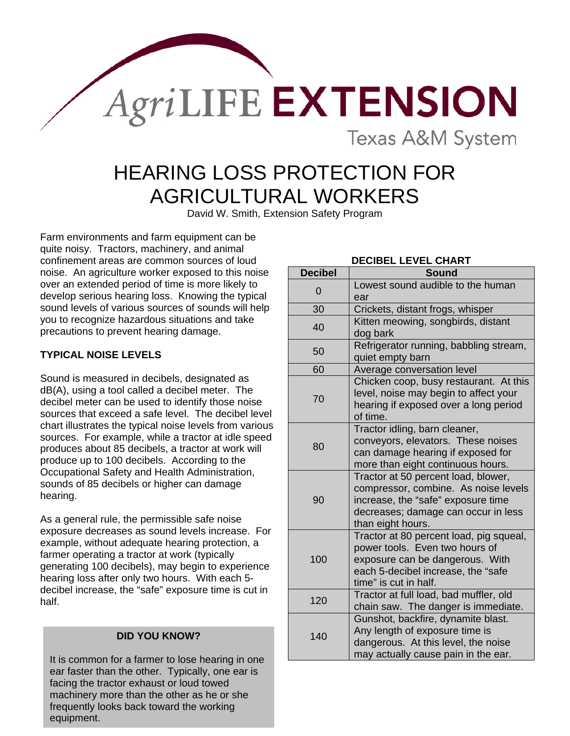**AgriLIFE EXTENSION** 

**Texas A&M System** 

# HEARING LOSS PROTECTION FOR AGRICULTURAL WORKERS

David W. Smith, Extension Safety Program

Farm environments and farm equipment can be quite noisy. Tractors, machinery, and animal confinement areas are common sources of loud noise. An agriculture worker exposed to this noise over an extended period of time is more likely to develop serious hearing loss. Knowing the typical sound levels of various sources of sounds will help you to recognize hazardous situations and take precautions to prevent hearing damage.

## **TYPICAL NOISE LEVELS**

Sound is measured in decibels, designated as dB(A), using a tool called a decibel meter. The decibel meter can be used to identify those noise sources that exceed a safe level. The decibel level chart illustrates the typical noise levels from various sources. For example, while a tractor at idle speed produces about 85 decibels, a tractor at work will produce up to 100 decibels. According to the Occupational Safety and Health Administration, sounds of 85 decibels or higher can damage hearing.

As a general rule, the permissible safe noise exposure decreases as sound levels increase. For example, without adequate hearing protection, a farmer operating a tractor at work (typically generating 100 decibels), may begin to experience hearing loss after only two hours. With each 5 decibel increase, the "safe" exposure time is cut in half.

#### **DID YOU KNOW?**

It is common for a farmer to lose hearing in one ear faster than the other. Typically, one ear is facing the tractor exhaust or loud towed machinery more than the other as he or she frequently looks back toward the working equipment.

## **DECIBEL LEVEL CHART**

| <b>Decibel</b> | <b>Sound</b>                                                                                                                                                                  |
|----------------|-------------------------------------------------------------------------------------------------------------------------------------------------------------------------------|
| $\overline{0}$ | Lowest sound audible to the human<br>ear                                                                                                                                      |
| 30             | Crickets, distant frogs, whisper                                                                                                                                              |
| 40             | Kitten meowing, songbirds, distant<br>dog bark                                                                                                                                |
| 50             | Refrigerator running, babbling stream,<br>quiet empty barn                                                                                                                    |
| 60             | Average conversation level                                                                                                                                                    |
| 70             | Chicken coop, busy restaurant. At this<br>level, noise may begin to affect your<br>hearing if exposed over a long period<br>of time.                                          |
| 80             | Tractor idling, barn cleaner,<br>conveyors, elevators. These noises<br>can damage hearing if exposed for<br>more than eight continuous hours.                                 |
| 90             | Tractor at 50 percent load, blower,<br>compressor, combine. As noise levels<br>increase, the "safe" exposure time<br>decreases; damage can occur in less<br>than eight hours. |
| 100            | Tractor at 80 percent load, pig squeal,<br>power tools. Even two hours of<br>exposure can be dangerous. With<br>each 5-decibel increase, the "safe<br>time" is cut in half.   |
| 120            | Tractor at full load, bad muffler, old<br>chain saw. The danger is immediate.                                                                                                 |
| 140            | Gunshot, backfire, dynamite blast.<br>Any length of exposure time is<br>dangerous. At this level, the noise<br>may actually cause pain in the ear.                            |